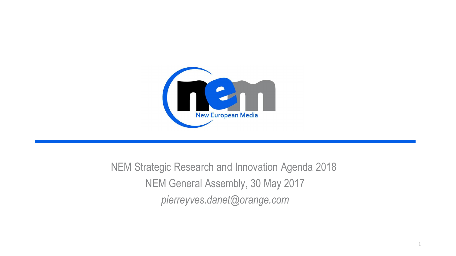

NEM Strategic Research and Innovation Agenda 2018 NEM General Assembly, 30 May 2017 *pierreyves.danet@orange.com*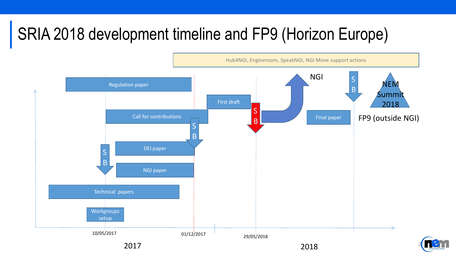## SRIA 2018 development timeline and FP9 (Horizon Europe)

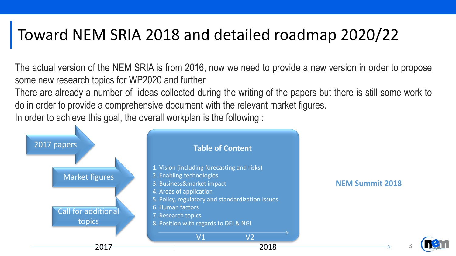#### Toward NEM SRIA 2018 and detailed roadmap 2020/22

The actual version of the NEM SRIA is from 2016, now we need to provide a new version in order to propose some new research topics for WP2020 and further

There are already a number of ideas collected during the writing of the papers but there is still some work to do in order to provide a comprehensive document with the relevant market figures.

In order to achieve this goal, the overall workplan is the following :

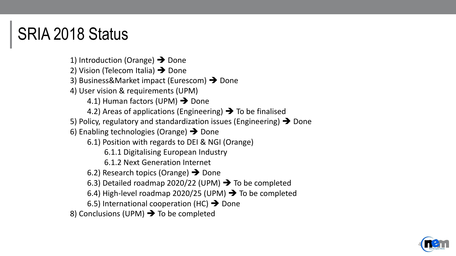## SRIA 2018 Status

1) Introduction (Orange)  $\rightarrow$  Done 2) Vision (Telecom Italia)  $\rightarrow$  Done 3) Business&Market impact (Eurescom) → Done 4) User vision & requirements (UPM) 4.1) Human factors (UPM)  $\rightarrow$  Done 4.2) Areas of applications (Engineering)  $\rightarrow$  To be finalised 5) Policy, regulatory and standardization issues (Engineering)  $\rightarrow$  Done 6) Enabling technologies (Orange)  $\rightarrow$  Done 6.1) Position with regards to DEI & NGI (Orange) 6.1.1 Digitalising European Industry 6.1.2 Next Generation Internet 6.2) Research topics (Orange)  $\rightarrow$  Done 6.3) Detailed roadmap 2020/22 (UPM)  $\rightarrow$  To be completed 6.4) High-level roadmap 2020/25 (UPM)  $\rightarrow$  To be completed 6.5) International cooperation (HC)  $\rightarrow$  Done 8) Conclusions (UPM)  $\rightarrow$  To be completed

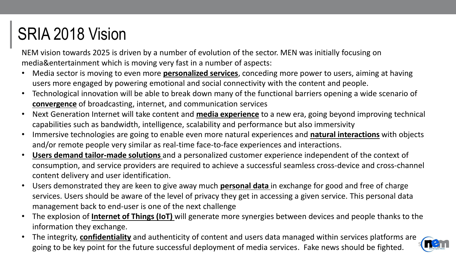# SRIA 2018 Vision

NEM vision towards 2025 is driven by a number of evolution of the sector. MEN was initially focusing on media&entertainment which is moving very fast in a number of aspects:

- Media sector is moving to even more **personalized services**, conceding more power to users, aiming at having users more engaged by powering emotional and social connectivity with the content and people.
- Technological innovation will be able to break down many of the functional barriers opening a wide scenario of **convergence** of broadcasting, internet, and communication services
- Next Generation Internet will take content and **media experience** to a new era, going beyond improving technical capabilities such as bandwidth, intelligence, scalability and performance but also immersivity
- Immersive technologies are going to enable even more natural experiences and **natural interactions** with objects and/or remote people very similar as real-time face-to-face experiences and interactions.
- **Users demand tailor-made solutions** and a personalized customer experience independent of the context of consumption, and service providers are required to achieve a successful seamless cross-device and cross-channel content delivery and user identification.
- Users demonstrated they are keen to give away much **personal data** in exchange for good and free of charge services. Users should be aware of the level of privacy they get in accessing a given service. This personal data management back to end-user is one of the next challenge
- The explosion of **Internet of Things (IoT)** will generate more synergies between devices and people thanks to the information they exchange.
- The integrity, **confidentiality** and authenticity of content and users data managed within services platforms are going to be key point for the future successful deployment of media services. Fake news should be fighted.

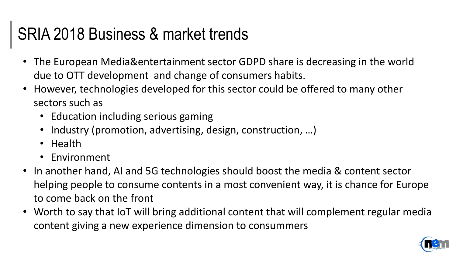## SRIA 2018 Business & market trends

- The European Media&entertainment sector GDPD share is decreasing in the world due to OTT development and change of consumers habits.
- However, technologies developed for this sector could be offered to many other sectors such as
	- Education including serious gaming
	- Industry (promotion, advertising, design, construction, ...)
	- Health
	- Environment
- In another hand, AI and 5G technologies should boost the media & content sector helping people to consume contents in a most convenient way, it is chance for Europe to come back on the front
- Worth to say that IoT will bring additional content that will complement regular media content giving a new experience dimension to consummers

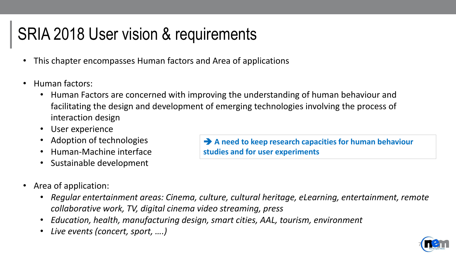## SRIA 2018 User vision & requirements

- This chapter encompasses Human factors and Area of applications
- Human factors:
	- Human Factors are concerned with improving the understanding of human behaviour and facilitating the design and development of emerging technologies involving the process of interaction design
	- User experience
	- Adoption of technologies
	- Human-Machine interface
	- Sustainable development

 **A need to keep research capacities for human behaviour studies and for user experiments** 

- Area of application:
	- *Regular entertainment areas: Cinema, culture, cultural heritage, eLearning, entertainment, remote collaborative work, TV, digital cinema video streaming, press*
	- *Education, health, manufacturing design, smart cities, AAL, tourism, environment*
	- *Live events (concert, sport, ….)*

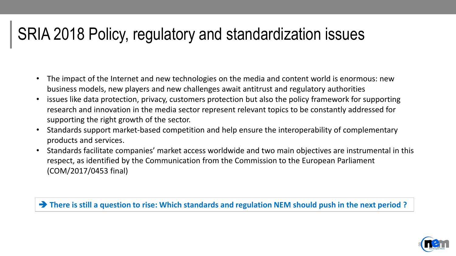#### SRIA 2018 Policy, regulatory and standardization issues

- The impact of the Internet and new technologies on the media and content world is enormous: new business models, new players and new challenges await antitrust and regulatory authorities
- issues like data protection, privacy, customers protection but also the policy framework for supporting research and innovation in the media sector represent relevant topics to be constantly addressed for supporting the right growth of the sector.
- Standards support market-based competition and help ensure the interoperability of complementary products and services.
- Standards facilitate companies' market access worldwide and two main objectives are instrumental in this respect, as identified by the Communication from the Commission to the European Parliament (COM/2017/0453 final)

**There is still a question to rise: Which standards and regulation NEM should push in the next period ?**

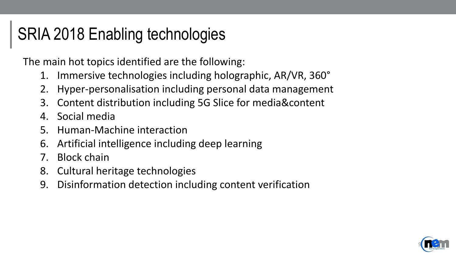## SRIA 2018 Enabling technologies

The main hot topics identified are the following:

- 1. Immersive technologies including holographic, AR/VR, 360°
- 2. Hyper-personalisation including personal data management
- 3. Content distribution including 5G Slice for media&content
- 4. Social media
- 5. Human-Machine interaction
- 6. Artificial intelligence including deep learning
- 7. Block chain
- 8. Cultural heritage technologies
- 9. Disinformation detection including content verification

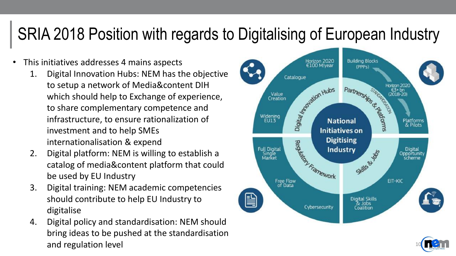### SRIA 2018 Position with regards to Digitalising of European Industry

- This initiatives addresses 4 mains aspects
	- 1. Digital Innovation Hubs: NEM has the objective to setup a network of Media&content DIH which should help to Exchange of experience, to share complementary competence and infrastructure, to ensure rationalization of investment and to help SMEs internationalisation & expend
	- 2. Digital platform: NEM is willing to establish a catalog of media&content platform that could be used by EU Industry
	- 3. Digital training: NEM academic competencies should contribute to help EU Industry to digitalise
	- 4. Digital policy and standardisation: NEM should bring ideas to be pushed at the standardisation and regulation level



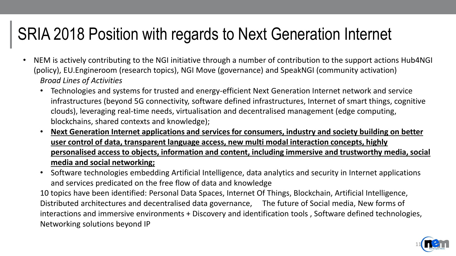#### SRIA 2018 Position with regards to Next Generation Internet

- NEM is actively contributing to the NGI initiative through a number of contribution to the support actions Hub4NGI (policy), EU.Engineroom (research topics), NGI Move (governance) and SpeakNGI (community activation) *Broad Lines of Activities*
	- Technologies and systems for trusted and energy-efficient Next Generation Internet network and service infrastructures (beyond 5G connectivity, software defined infrastructures, Internet of smart things, cognitive clouds), leveraging real-time needs, virtualisation and decentralised management (edge computing, blockchains, shared contexts and knowledge);
	- **Next Generation Internet applications and services for consumers, industry and society building on better user control of data, transparent language access, new multi modal interaction concepts, highly personalised access to objects, information and content, including immersive and trustworthy media, social media and social networking;**
	- Software technologies embedding Artificial Intelligence, data analytics and security in Internet applications and services predicated on the free flow of data and knowledge

10 topics have been identified: Personal Data Spaces, Internet Of Things, Blockchain, Artificial Intelligence, Distributed architectures and decentralised data governance, The future of Social media, New forms of interactions and immersive environments + Discovery and identification tools , Software defined technologies, Networking solutions beyond IP

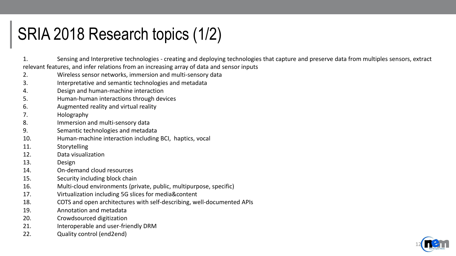## SRIA 2018 Research topics (1/2)

1. Sensing and Interpretive technologies - creating and deploying technologies that capture and preserve data from multiples sensors, extract relevant features, and infer relations from an increasing array of data and sensor inputs

- 2. Wireless sensor networks, immersion and multi-sensory data
- 3. Interpretative and semantic technologies and metadata
- 4. Design and human-machine interaction
- 5. Human-human interactions through devices
- 6. Augmented reality and virtual reality
- 7. Holography
- 8. Immersion and multi-sensory data
- 9. Semantic technologies and metadata
- 10. Human-machine interaction including BCI, haptics, vocal
- 11. Storytelling
- 12. Data visualization
- 13. Design
- 14. On-demand cloud resources
- 15. Security including block chain
- 16. Multi-cloud environments (private, public, multipurpose, specific)
- 17. Virtualization including 5G slices for media&content
- 18. COTS and open architectures with self-describing, well-documented APIs
- 19. Annotation and metadata
- 20. Crowdsourced digitization
- 21. Interoperable and user-friendly DRM
- 22. Quality control (end2end)

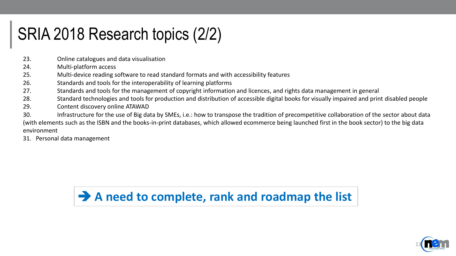# SRIA 2018 Research topics (2/2)

- 23. Online catalogues and data visualisation
- 24. Multi-platform access
- 25. Multi-device reading software to read standard formats and with accessibility features
- 26. Standards and tools for the interoperability of learning platforms
- 27. Standards and tools for the management of copyright information and licences, and rights data management in general
- 28. Standard technologies and tools for production and distribution of accessible digital books for visually impaired and print disabled people
- 29. Content discovery online ATAWAD
- 30. Infrastructure for the use of Big data by SMEs, i.e.: how to transpose the tradition of precompetitive collaboration of the sector about data (with elements such as the ISBN and the books-in-print databases, which allowed ecommerce being launched first in the book sector) to the big data environment
- 31. Personal data management

**A need to complete, rank and roadmap the list**

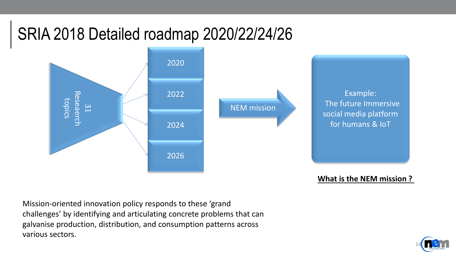#### SRIA 2018 Detailed roadmap 2020/22/24/26



Example: The future Immersive social media platform for humans & IoT

**What is the NEM mission ?** 

Mission-oriented innovation policy responds to these 'grand challenges' by identifying and articulating concrete problems that can galvanise production, distribution, and consumption patterns across various sectors.

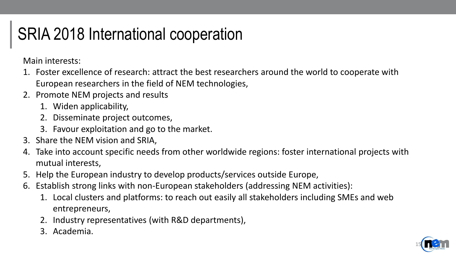## SRIA 2018 International cooperation

Main interests:

- 1. Foster excellence of research: attract the best researchers around the world to cooperate with European researchers in the field of NEM technologies,
- 2. Promote NEM projects and results
	- 1. Widen applicability,
	- 2. Disseminate project outcomes,
	- 3. Favour exploitation and go to the market.
- 3. Share the NEM vision and SRIA,
- 4. Take into account specific needs from other worldwide regions: foster international projects with mutual interests,
- 5. Help the European industry to develop products/services outside Europe,
- 6. Establish strong links with non-European stakeholders (addressing NEM activities):
	- 1. Local clusters and platforms: to reach out easily all stakeholders including SMEs and web entrepreneurs,
	- 2. Industry representatives (with R&D departments),
	- 3. Academia.

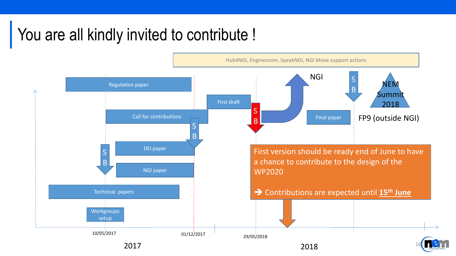#### You are all kindly invited to contribute !